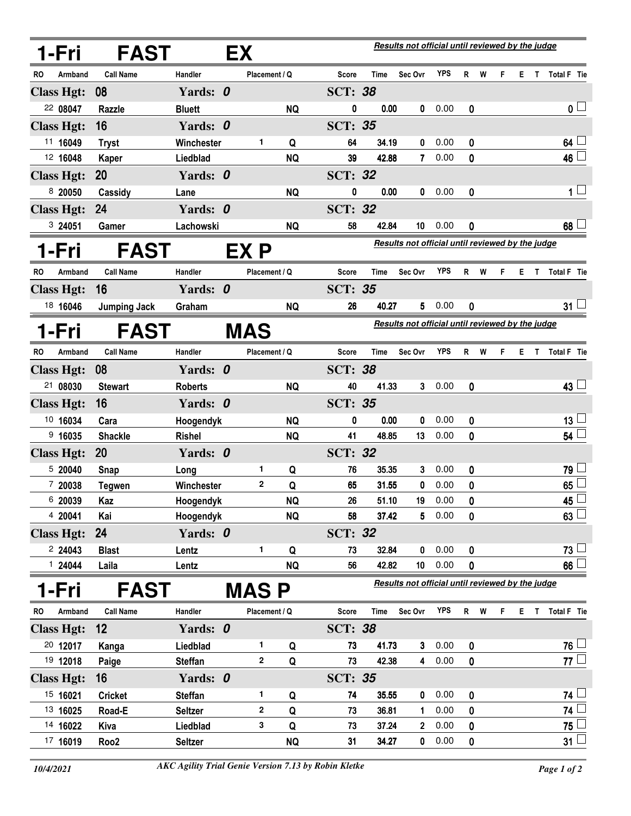| <b>FAST</b><br>1-Fri |                     |                | Results not official until reviewed by the judge<br>EX |           |                |             |                                                  |            |           |     |   |     |                  |
|----------------------|---------------------|----------------|--------------------------------------------------------|-----------|----------------|-------------|--------------------------------------------------|------------|-----------|-----|---|-----|------------------|
| Armband<br>RO        | <b>Call Name</b>    | Handler        | Placement / Q                                          |           | Score          | Time        | Sec Ovr                                          | <b>YPS</b> |           | R W | F |     | E T Total F Tie  |
| <b>Class Hgt:</b>    | 08                  | Yards: 0       |                                                        |           | <b>SCT: 38</b> |             |                                                  |            |           |     |   |     |                  |
| 22 08047             | Razzle              | <b>Bluett</b>  |                                                        | <b>NQ</b> | 0              | 0.00        | 0                                                | 0.00       | 0         |     |   |     | 0 <sub>1</sub>   |
| <b>Class Hgt:</b>    | 16                  | Yards: 0       |                                                        |           | <b>SCT: 35</b> |             |                                                  |            |           |     |   |     |                  |
| 11 16049             | <b>Tryst</b>        | Winchester     | 1                                                      | Q         | 64             | 34.19       | 0                                                | 0.00       | 0         |     |   |     | 64 <sup>1</sup>  |
| 12 16048             | Kaper               | Liedblad       |                                                        | <b>NQ</b> | 39             | 42.88       | $\mathbf{7}$                                     | 0.00       | 0         |     |   |     | $46\Box$         |
| <b>Class Hgt:</b>    | <b>20</b>           | Yards: 0       |                                                        |           | <b>SCT: 32</b> |             |                                                  |            |           |     |   |     |                  |
| 8 20050              | Cassidy             | Lane           |                                                        | <b>NQ</b> | 0              | 0.00        | 0                                                | 0.00       | 0         |     |   |     | $1 \Box$         |
| <b>Class Hgt:</b>    | 24                  | Yards: 0       |                                                        |           | <b>SCT: 32</b> |             |                                                  |            |           |     |   |     |                  |
| 3 24051              | Gamer               | Lachowski      |                                                        | <b>NQ</b> | 58             | 42.84       | 10                                               | 0.00       | 0         |     |   |     | 68 <sup>1</sup>  |
| 1-Fri                | <b>FAST</b>         |                | EX P                                                   |           |                |             | Results not official until reviewed by the judge |            |           |     |   |     |                  |
| RO<br>Armband        | <b>Call Name</b>    | Handler        | Placement / Q                                          |           | <b>Score</b>   | Time        | Sec Ovr                                          | <b>YPS</b> |           | R W | F | E T | Total F Tie      |
| <b>Class Hgt:</b>    | 16                  | Yards: 0       |                                                        |           | <b>SCT: 35</b> |             |                                                  |            |           |     |   |     |                  |
| 18 16046             | <b>Jumping Jack</b> | Graham         |                                                        | <b>NQ</b> | 26             | 40.27       | 5                                                | 0.00       | 0         |     |   |     | 31 <sup>1</sup>  |
| 1-Fri                | <b>FAST</b>         |                | <b>MAS</b>                                             |           |                |             | Results not official until reviewed by the judge |            |           |     |   |     |                  |
| <b>RO</b><br>Armband | <b>Call Name</b>    | Handler        | Placement / Q                                          |           | <b>Score</b>   | <b>Time</b> | Sec Ovr                                          | <b>YPS</b> | R         | W   | F |     | E T Total F Tie  |
| <b>Class Hgt:</b>    | 08                  | Yards: 0       |                                                        |           | <b>SCT: 38</b> |             |                                                  |            |           |     |   |     |                  |
| 21 08030             | <b>Stewart</b>      | <b>Roberts</b> |                                                        | <b>NQ</b> | 40             | 41.33       | 3                                                | 0.00       | 0         |     |   |     | $43 -$           |
| <b>Class Hgt:</b>    | 16                  | Yards: 0       |                                                        |           | <b>SCT: 35</b> |             |                                                  |            |           |     |   |     |                  |
| 10 16034             | Cara                | Hoogendyk      |                                                        | <b>NQ</b> | 0              | 0.00        | 0                                                | 0.00       | 0         |     |   |     | $13 -$           |
| 9,16035              | <b>Shackle</b>      | <b>Rishel</b>  |                                                        | <b>NQ</b> | 41             | 48.85       | 13                                               | 0.00       | 0         |     |   |     | 54               |
| <b>Class Hgt:</b>    | 20                  | Yards: 0       |                                                        |           | <b>SCT: 32</b> |             |                                                  |            |           |     |   |     |                  |
| 5 20040              | Snap                | Long           | 1                                                      | Q         | 76             | 35.35       | 3                                                | 0.00       | 0         |     |   |     | $79 -$           |
| 7 20038              | <b>Tegwen</b>       | Winchester     | 2                                                      | Q         | 65             | 31.55       | 0                                                | 0.00       | 0         |     |   |     | 65               |
| 6 20039              | Kaz                 | Hoogendyk      |                                                        | <b>NQ</b> | 26             | 51.10       | 19                                               | 0.00       | $\pmb{0}$ |     |   |     | $45\overline{)}$ |
| 4 20041              | Kai                 | Hoogendyk      |                                                        | <b>NQ</b> | 58             | 37.42       | 5                                                | 0.00       | 0         |     |   |     | 63               |
| <b>Class Hgt:</b>    | 24                  | Yards: 0       |                                                        |           | <b>SCT: 32</b> |             |                                                  |            |           |     |   |     |                  |
| 224043               | <b>Blast</b>        | Lentz          | 1                                                      | Q         | 73             | 32.84       | 0                                                | 0.00       | 0         |     |   |     | $73 -$           |
| 124044               | Laila               | Lentz          |                                                        | <b>NQ</b> | 56             | 42.82       | 10                                               | 0.00       | 0         |     |   |     | 66               |
| l-Fri                | <b>FAST</b>         |                | MAS P                                                  |           |                |             | Results not official until reviewed by the judge |            |           |     |   |     |                  |
| Armband<br>RO        | <b>Call Name</b>    | Handler        | Placement / Q                                          |           | <b>Score</b>   | Time        | Sec Ovr                                          | <b>YPS</b> |           | R W | F |     | E T Total F Tie  |
| <b>Class Hgt:</b>    | 12                  | Yards: 0       |                                                        |           | <b>SCT: 38</b> |             |                                                  |            |           |     |   |     |                  |
| 20 12017             | Kanga               | Liedblad       | 1.                                                     | Q         | 73             | 41.73       | 3                                                | 0.00       | 0         |     |   |     | 76 └             |
| 19 12018             | Paige               | <b>Steffan</b> | 2                                                      | Q         | 73             | 42.38       | $\overline{4}$                                   | 0.00       | 0         |     |   |     | 77 $\Box$        |
| <b>Class Hgt:</b>    | 16                  | Yards: 0       |                                                        |           | <b>SCT: 35</b> |             |                                                  |            |           |     |   |     |                  |
| 15 16021             | <b>Cricket</b>      | <b>Steffan</b> | 1                                                      | Q         | 74             | 35.55       | 0                                                | 0.00       | 0         |     |   |     | $74\perp$        |
| 13 16025             | Road-E              | <b>Seltzer</b> | 2                                                      | Q         | 73             | 36.81       | 1                                                | 0.00       | 0         |     |   |     | 74 L             |
| 14 16022             | Kiva                | Liedblad       | 3                                                      | Q         | 73             | 37.24       | 2                                                | 0.00       | 0         |     |   |     | 75               |
| 17 16019             | Roo <sub>2</sub>    | <b>Seltzer</b> |                                                        | <b>NQ</b> | 31             | 34.27       | 0                                                | 0.00       | 0         |     |   |     | 31 <sup>1</sup>  |